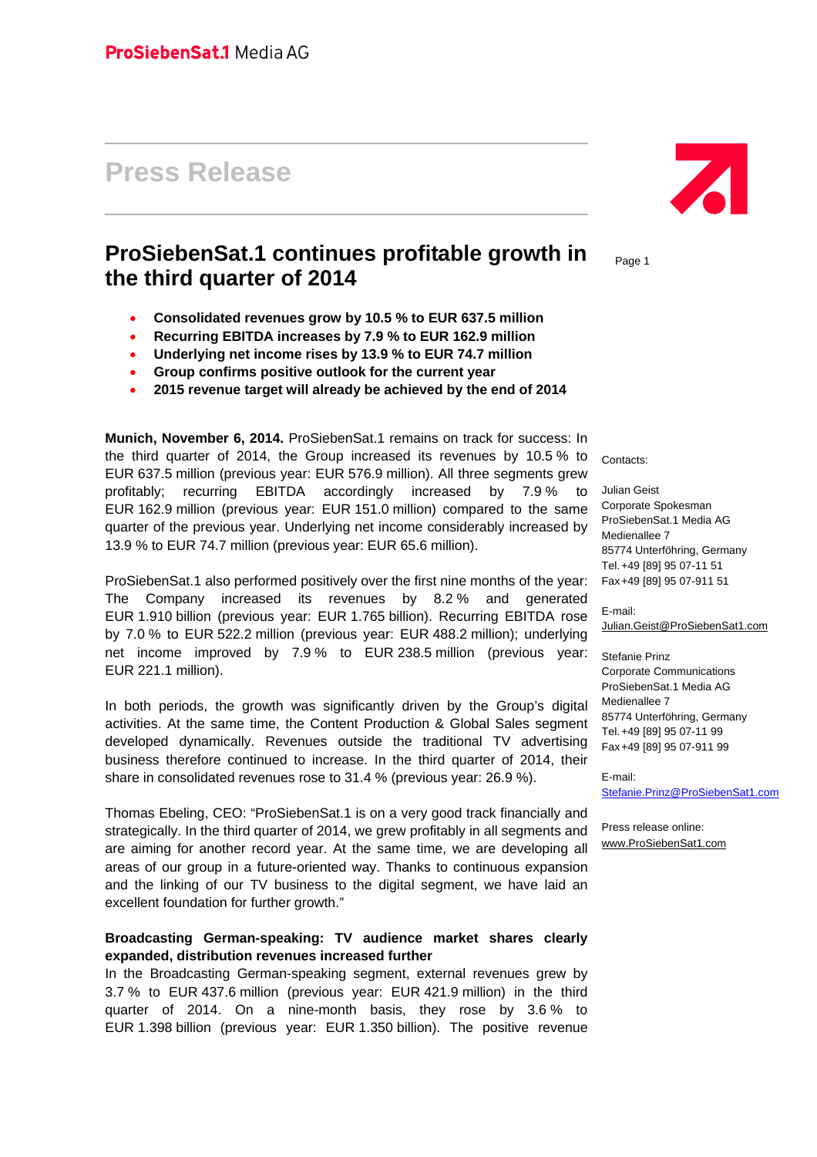# **Press Release**

## **ProSiebenSat.1 continues profitable growth in the third quarter of 2014**

- **Consolidated revenues grow by 10.5 % to EUR 637.5 million**
- **Recurring EBITDA increases by 7.9 % to EUR 162.9 million**
- **Underlying net income rises by 13.9 % to EUR 74.7 million**
- **Group confirms positive outlook for the current year**
- **2015 revenue target will already be achieved by the end of 2014**

**Munich, November 6, 2014.** ProSiebenSat.1 remains on track for success: In the third quarter of 2014, the Group increased its revenues by 10.5 % to EUR 637.5 million (previous year: EUR 576.9 million). All three segments grew profitably; recurring EBITDA accordingly increased by 7.9 % to EUR 162.9 million (previous year: EUR 151.0 million) compared to the same quarter of the previous year. Underlying net income considerably increased by 13.9 % to EUR 74.7 million (previous year: EUR 65.6 million).

ProSiebenSat.1 also performed positively over the first nine months of the year: The Company increased its revenues by 8.2 % and generated EUR 1.910 billion (previous year: EUR 1.765 billion). Recurring EBITDA rose by 7.0 % to EUR 522.2 million (previous year: EUR 488.2 million); underlying net income improved by 7.9 % to EUR 238.5 million (previous year: EUR 221.1 million).

In both periods, the growth was significantly driven by the Group's digital activities. At the same time, the Content Production & Global Sales segment developed dynamically. Revenues outside the traditional TV advertising business therefore continued to increase. In the third quarter of 2014, their share in consolidated revenues rose to 31.4 % (previous year: 26.9 %).

Thomas Ebeling, CEO: "ProSiebenSat.1 is on a very good track financially and strategically. In the third quarter of 2014, we grew profitably in all segments and are aiming for another record year. At the same time, we are developing all areas of our group in a future-oriented way. Thanks to continuous expansion and the linking of our TV business to the digital segment, we have laid an excellent foundation for further growth."

#### **Broadcasting German-speaking: TV audience market shares clearly expanded, distribution revenues increased further**

In the Broadcasting German-speaking segment, external revenues grew by 3.7 % to EUR 437.6 million (previous year: EUR 421.9 million) in the third quarter of 2014. On a nine-month basis, they rose by 3.6 % to EUR 1.398 billion (previous year: EUR 1.350 billion). The positive revenue



Page 1

Contacts:

Julian Geist Corporate Spokesman ProSiebenSat.1 Media AG Medienallee 7 85774 Unterföhring, Germany Tel. +49 [89] 95 07-11 51 Fax +49 [89] 95 07-911 51

E-mail: Julian.Geist@ProSiebenSat1.com

Stefanie Prinz Corporate Communications ProSiebenSat.1 Media AG Medienallee 7 85774 Unterföhring, Germany Tel. +49 [89] 95 07-11 99 Fax +49 [89] 95 07-911 99

E-mail: Stefanie.Prinz@ProSiebenSat1.com

Press release online: www.ProSiebenSat1.com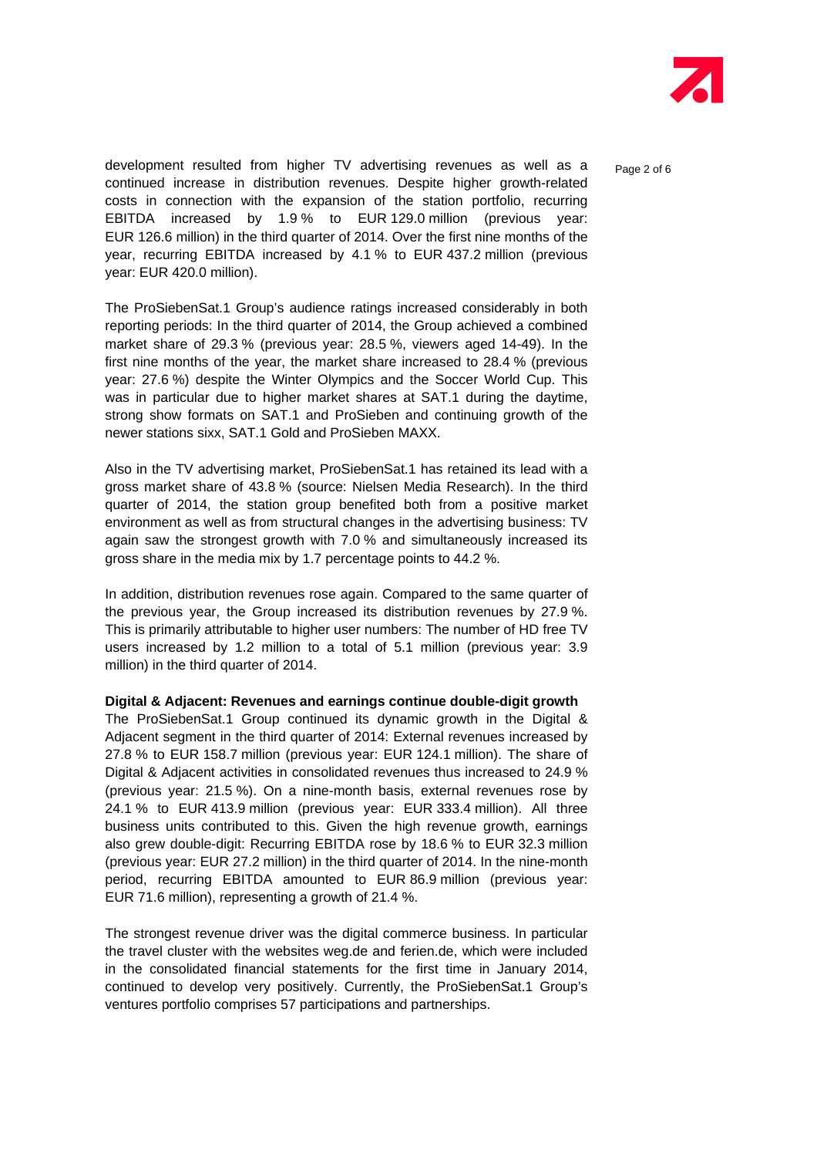

development resulted from higher TV advertising revenues as well as a  $_{\text{Paae 2 of 6}}$ continued increase in distribution revenues. Despite higher growth-related costs in connection with the expansion of the station portfolio, recurring EBITDA increased by 1.9 % to EUR 129.0 million (previous year: EUR 126.6 million) in the third quarter of 2014. Over the first nine months of the year, recurring EBITDA increased by 4.1 % to EUR 437.2 million (previous year: EUR 420.0 million).

The ProSiebenSat.1 Group's audience ratings increased considerably in both reporting periods: In the third quarter of 2014, the Group achieved a combined market share of 29.3 % (previous year: 28.5 %, viewers aged 14-49). In the first nine months of the year, the market share increased to 28.4 % (previous year: 27.6 %) despite the Winter Olympics and the Soccer World Cup. This was in particular due to higher market shares at SAT.1 during the daytime, strong show formats on SAT.1 and ProSieben and continuing growth of the newer stations sixx, SAT.1 Gold and ProSieben MAXX.

Also in the TV advertising market, ProSiebenSat.1 has retained its lead with a gross market share of 43.8 % (source: Nielsen Media Research). In the third quarter of 2014, the station group benefited both from a positive market environment as well as from structural changes in the advertising business: TV again saw the strongest growth with 7.0 % and simultaneously increased its gross share in the media mix by 1.7 percentage points to 44.2 %.

In addition, distribution revenues rose again. Compared to the same quarter of the previous year, the Group increased its distribution revenues by 27.9 %. This is primarily attributable to higher user numbers: The number of HD free TV users increased by 1.2 million to a total of 5.1 million (previous year: 3.9 million) in the third quarter of 2014.

**Digital & Adjacent: Revenues and earnings continue double-digit growth** 

The ProSiebenSat.1 Group continued its dynamic growth in the Digital & Adjacent segment in the third quarter of 2014: External revenues increased by 27.8 % to EUR 158.7 million (previous year: EUR 124.1 million). The share of Digital & Adjacent activities in consolidated revenues thus increased to 24.9 % (previous year: 21.5 %). On a nine-month basis, external revenues rose by 24.1 % to EUR 413.9 million (previous year: EUR 333.4 million). All three business units contributed to this. Given the high revenue growth, earnings also grew double-digit: Recurring EBITDA rose by 18.6 % to EUR 32.3 million (previous year: EUR 27.2 million) in the third quarter of 2014. In the nine-month period, recurring EBITDA amounted to EUR 86.9 million (previous year: EUR 71.6 million), representing a growth of 21.4 %.

The strongest revenue driver was the digital commerce business. In particular the travel cluster with the websites weg.de and ferien.de, which were included in the consolidated financial statements for the first time in January 2014, continued to develop very positively. Currently, the ProSiebenSat.1 Group's ventures portfolio comprises 57 participations and partnerships.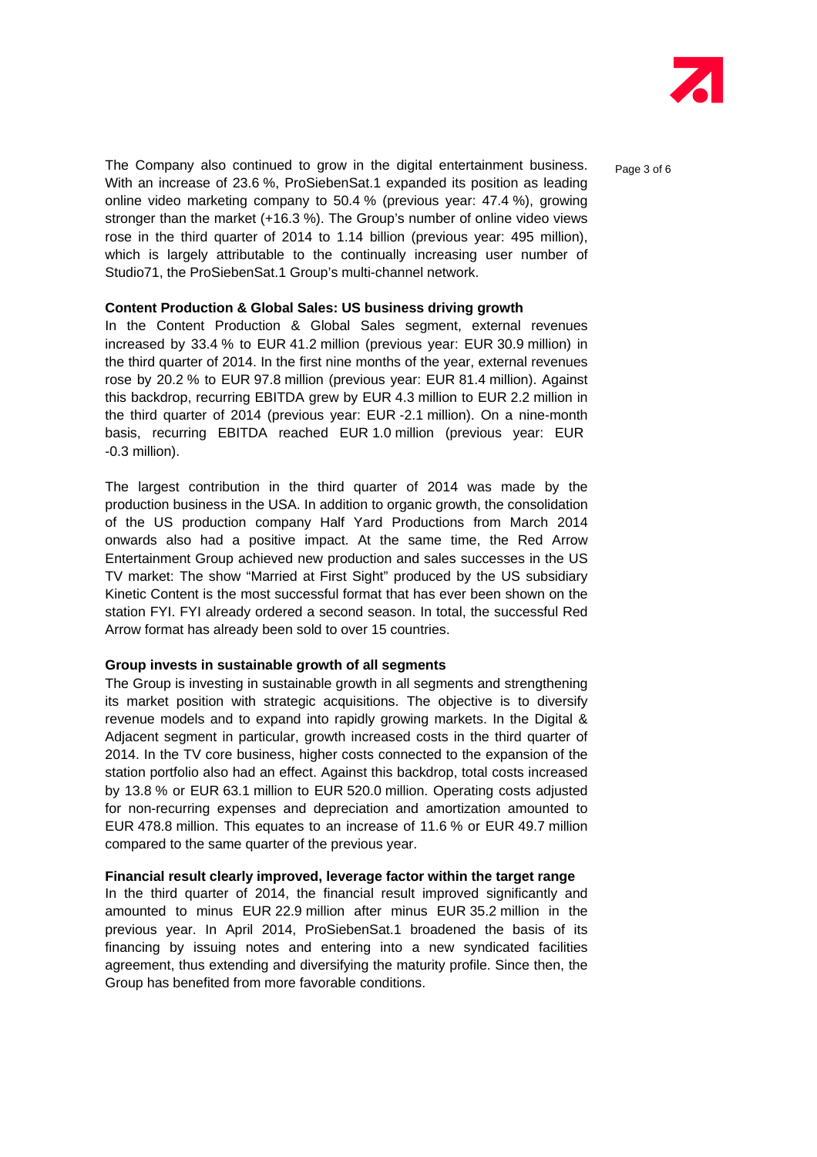

The Company also continued to grow in the digital entertainment business.  $P_{\text{a}ae 3 of 6}$ With an increase of 23.6 %, ProSiebenSat.1 expanded its position as leading online video marketing company to 50.4 % (previous year: 47.4 %), growing stronger than the market (+16.3 %). The Group's number of online video views rose in the third quarter of 2014 to 1.14 billion (previous year: 495 million), which is largely attributable to the continually increasing user number of Studio71, the ProSiebenSat.1 Group's multi-channel network.

#### **Content Production & Global Sales: US business driving growth**

In the Content Production & Global Sales segment, external revenues increased by 33.4 % to EUR 41.2 million (previous year: EUR 30.9 million) in the third quarter of 2014. In the first nine months of the year, external revenues rose by 20.2 % to EUR 97.8 million (previous year: EUR 81.4 million). Against this backdrop, recurring EBITDA grew by EUR 4.3 million to EUR 2.2 million in the third quarter of 2014 (previous year: EUR -2.1 million). On a nine-month basis, recurring EBITDA reached EUR 1.0 million (previous year: EUR -0.3 million).

The largest contribution in the third quarter of 2014 was made by the production business in the USA. In addition to organic growth, the consolidation of the US production company Half Yard Productions from March 2014 onwards also had a positive impact. At the same time, the Red Arrow Entertainment Group achieved new production and sales successes in the US TV market: The show "Married at First Sight" produced by the US subsidiary Kinetic Content is the most successful format that has ever been shown on the station FYI. FYI already ordered a second season. In total, the successful Red Arrow format has already been sold to over 15 countries.

#### **Group invests in sustainable growth of all segments**

The Group is investing in sustainable growth in all segments and strengthening its market position with strategic acquisitions. The objective is to diversify revenue models and to expand into rapidly growing markets. In the Digital & Adjacent segment in particular, growth increased costs in the third quarter of 2014. In the TV core business, higher costs connected to the expansion of the station portfolio also had an effect. Against this backdrop, total costs increased by 13.8 % or EUR 63.1 million to EUR 520.0 million. Operating costs adjusted for non-recurring expenses and depreciation and amortization amounted to EUR 478.8 million. This equates to an increase of 11.6 % or EUR 49.7 million compared to the same quarter of the previous year.

#### **Financial result clearly improved, leverage factor within the target range**

In the third quarter of 2014, the financial result improved significantly and amounted to minus EUR 22.9 million after minus EUR 35.2 million in the previous year. In April 2014, ProSiebenSat.1 broadened the basis of its financing by issuing notes and entering into a new syndicated facilities agreement, thus extending and diversifying the maturity profile. Since then, the Group has benefited from more favorable conditions.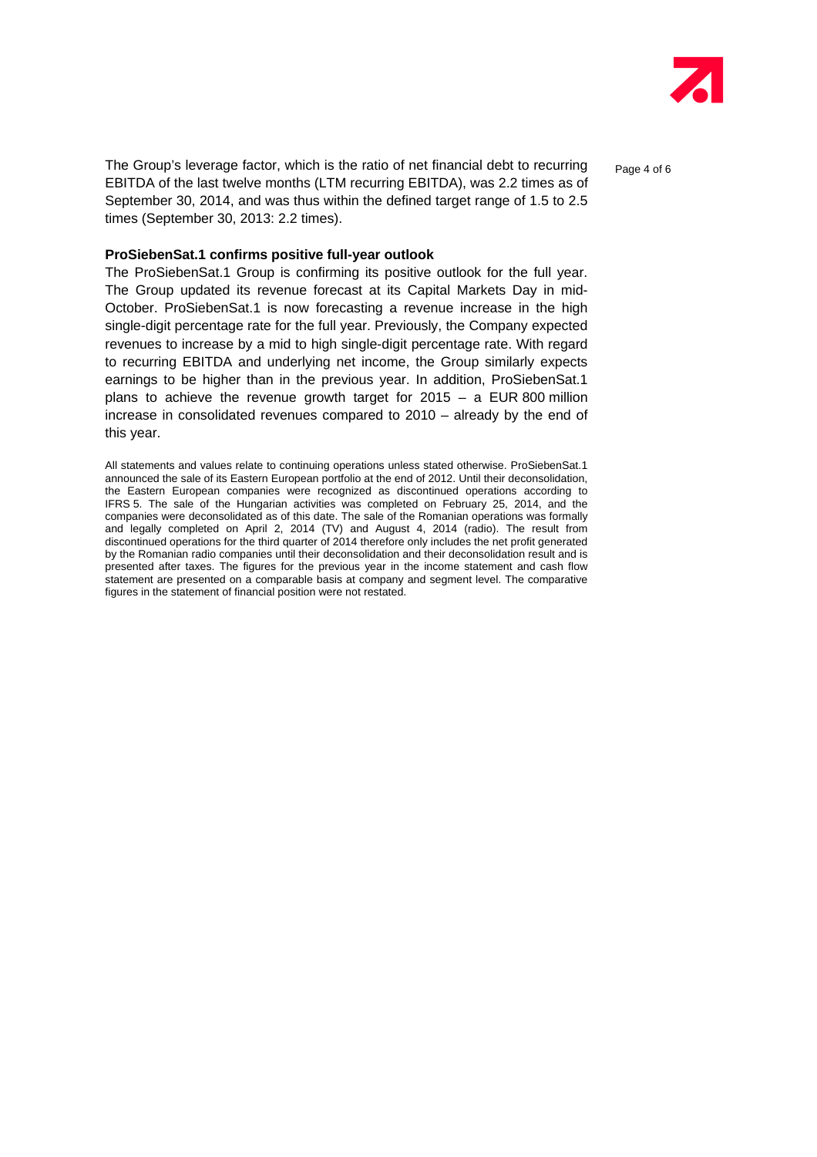

The Group's leverage factor, which is the ratio of net financial debt to recurring  $P_{\text{a}ae 4 of 6}$ EBITDA of the last twelve months (LTM recurring EBITDA), was 2.2 times as of September 30, 2014, and was thus within the defined target range of 1.5 to 2.5 times (September 30, 2013: 2.2 times).

#### **ProSiebenSat.1 confirms positive full-year outlook**

The ProSiebenSat.1 Group is confirming its positive outlook for the full year. The Group updated its revenue forecast at its Capital Markets Day in mid-October. ProSiebenSat.1 is now forecasting a revenue increase in the high single-digit percentage rate for the full year. Previously, the Company expected revenues to increase by a mid to high single-digit percentage rate. With regard to recurring EBITDA and underlying net income, the Group similarly expects earnings to be higher than in the previous year. In addition, ProSiebenSat.1 plans to achieve the revenue growth target for 2015 – a EUR 800 million increase in consolidated revenues compared to 2010 – already by the end of this year.

All statements and values relate to continuing operations unless stated otherwise. ProSiebenSat.1 announced the sale of its Eastern European portfolio at the end of 2012. Until their deconsolidation, the Eastern European companies were recognized as discontinued operations according to IFRS 5. The sale of the Hungarian activities was completed on February 25, 2014, and the companies were deconsolidated as of this date. The sale of the Romanian operations was formally and legally completed on April 2, 2014 (TV) and August 4, 2014 (radio). The result from discontinued operations for the third quarter of 2014 therefore only includes the net profit generated by the Romanian radio companies until their deconsolidation and their deconsolidation result and is presented after taxes. The figures for the previous year in the income statement and cash flow statement are presented on a comparable basis at company and segment level. The comparative figures in the statement of financial position were not restated.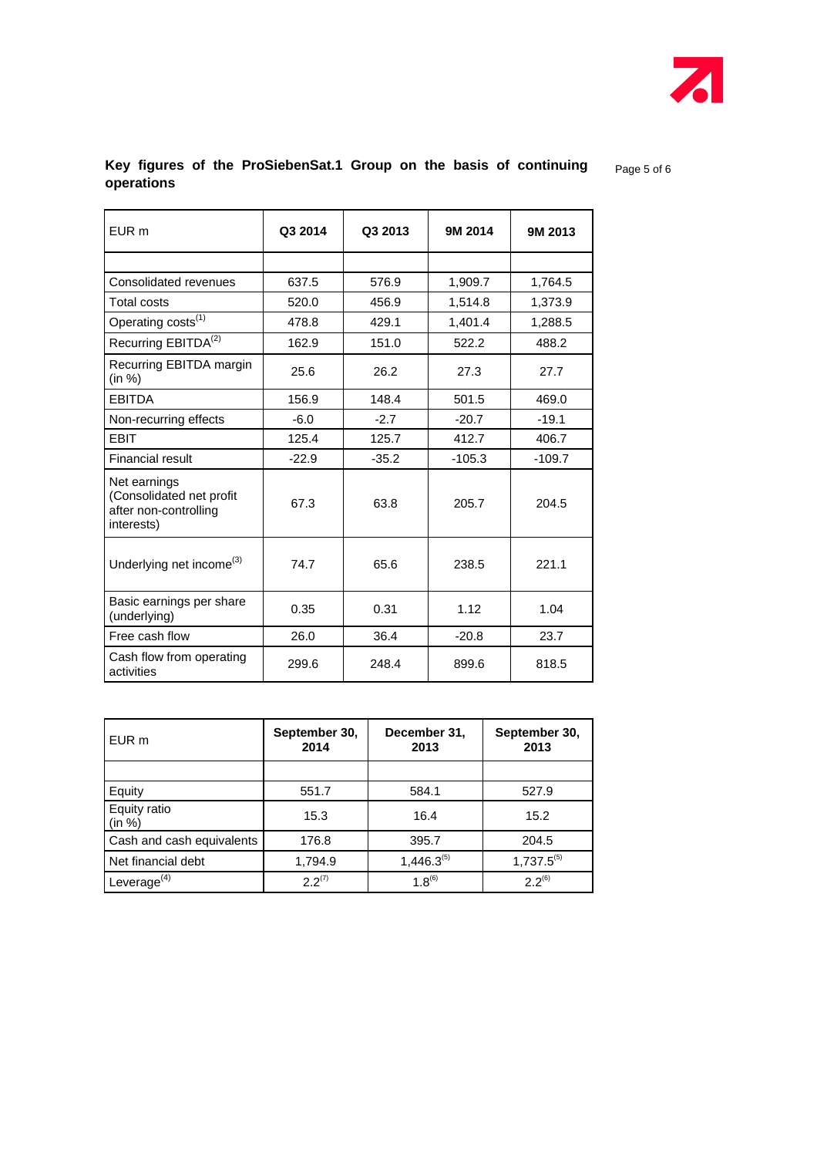

#### **Key figures of the ProSiebenSat.1 Group on the basis of continuing propropty Page 5 of 6 operations**

| EUR <sub>m</sub>                                                                | Q3 2014 | Q3 2013 | 9M 2014  | 9M 2013  |
|---------------------------------------------------------------------------------|---------|---------|----------|----------|
|                                                                                 |         |         |          |          |
| Consolidated revenues                                                           | 637.5   | 576.9   | 1,909.7  | 1,764.5  |
| Total costs                                                                     | 520.0   | 456.9   | 1,514.8  | 1,373.9  |
| Operating costs <sup>(1)</sup>                                                  | 478.8   | 429.1   | 1.401.4  | 1,288.5  |
| Recurring EBITDA <sup>(2)</sup>                                                 | 162.9   | 151.0   | 522.2    | 488.2    |
| Recurring EBITDA margin<br>(in %)                                               | 25.6    | 26.2    | 27.3     | 27.7     |
| <b>EBITDA</b>                                                                   | 156.9   | 148.4   | 501.5    | 469.0    |
| Non-recurring effects                                                           | $-6.0$  | $-2.7$  | $-20.7$  | $-19.1$  |
| <b>EBIT</b>                                                                     | 125.4   | 125.7   | 412.7    | 406.7    |
| Financial result                                                                | $-22.9$ | $-35.2$ | $-105.3$ | $-109.7$ |
| Net earnings<br>(Consolidated net profit<br>after non-controlling<br>interests) | 67.3    | 63.8    | 205.7    | 204.5    |
| Underlying net income <sup>(3)</sup>                                            | 74.7    | 65.6    | 238.5    | 221.1    |
| Basic earnings per share<br>(underlying)                                        | 0.35    | 0.31    | 1.12     | 1.04     |
| Free cash flow                                                                  | 26.0    | 36.4    | $-20.8$  | 23.7     |
| Cash flow from operating<br>activities                                          | 299.6   | 248.4   | 899.6    | 818.5    |

| EUR m                     | September 30,<br>2014 | December 31,<br>2013 | September 30,<br>2013 |
|---------------------------|-----------------------|----------------------|-----------------------|
|                           |                       |                      |                       |
| Equity                    | 551.7                 | 584.1                | 527.9                 |
| Equity ratio<br>(in %)    | 15.3                  | 16.4                 | 15.2                  |
| Cash and cash equivalents | 176.8                 | 395.7                | 204.5                 |
| Net financial debt        | 1,794.9               | $1,446.3^{(5)}$      | $1,737.5^{(5)}$       |
| Leverage $^{(4)}$         | $2.2^{(7)}$           | $1.8^{(6)}$          | $2.2^{(6)}$           |